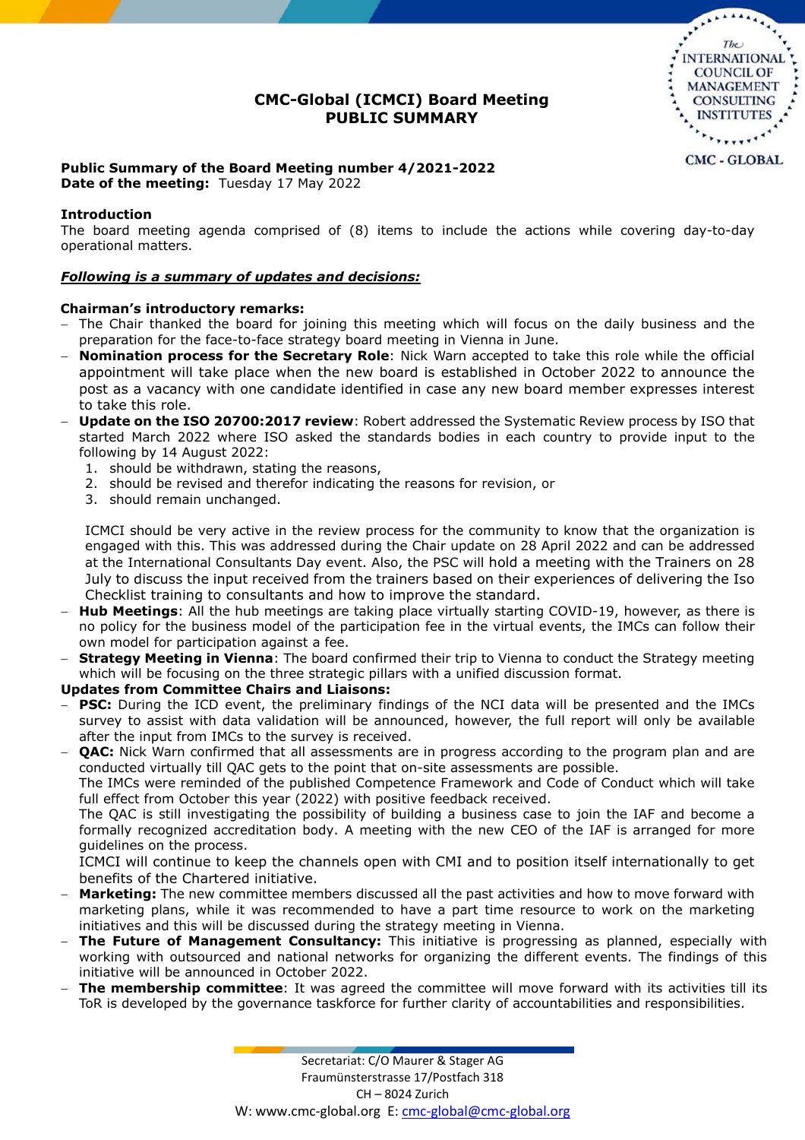# **CMC-Global (ICMCI) Board Meeting PUBLIC SUMMARY**



# **Public Summary of the Board Meeting number 4/2021-2022**

**Date of the meeting:** Tuesday 17 May 2022

# **Introduction**

The board meeting agenda comprised of (8) items to include the actions while covering day-to-day operational matters.

## *Following is a summary of updates and decisions:*

## **Chairman's introductory remarks:**

- The Chair thanked the board for joining this meeting which will focus on the daily business and the preparation for the face-to-face strategy board meeting in Vienna in June.
- **Nomination process for the Secretary Role**: Nick Warn accepted to take this role while the official appointment will take place when the new board is established in October 2022 to announce the post as a vacancy with one candidate identified in case any new board member expresses interest to take this role.
- **Update on the ISO 20700:2017 review**: Robert addressed the Systematic Review process by ISO that started March 2022 where ISO asked the standards bodies in each country to provide input to the following by 14 August 2022:
	- 1. should be withdrawn, stating the reasons,
	- 2. should be revised and therefor indicating the reasons for revision, or
	- 3. should remain unchanged.

ICMCI should be very active in the review process for the community to know that the organization is engaged with this. This was addressed during the Chair update on 28 April 2022 and can be addressed at the International Consultants Day event. Also, the PSC will hold a meeting with the Trainers on 28 July to discuss the input received from the trainers based on their experiences of delivering the Iso Checklist training to consultants and how to improve the standard.

- **Hub Meetings**: All the hub meetings are taking place virtually starting COVID-19, however, as there is no policy for the business model of the participation fee in the virtual events, the IMCs can follow their own model for participation against a fee.
- **Strategy Meeting in Vienna**: The board confirmed their trip to Vienna to conduct the Strategy meeting which will be focusing on the three strategic pillars with a unified discussion format.

## **Updates from Committee Chairs and Liaisons:**

- **PSC:** During the ICD event, the preliminary findings of the NCI data will be presented and the IMCs survey to assist with data validation will be announced, however, the full report will only be available after the input from IMCs to the survey is received.
- **OAC:** Nick Warn confirmed that all assessments are in progress according to the program plan and are conducted virtually till QAC gets to the point that on-site assessments are possible.

The IMCs were reminded of the published Competence Framework and Code of Conduct which will take full effect from October this year (2022) with positive feedback received.

The QAC is still investigating the possibility of building a business case to join the IAF and become a formally recognized accreditation body. A meeting with the new CEO of the IAF is arranged for more guidelines on the process.

ICMCI will continue to keep the channels open with CMI and to position itself internationally to get benefits of the Chartered initiative.

- **Marketing:** The new committee members discussed all the past activities and how to move forward with marketing plans, while it was recommended to have a part time resource to work on the marketing initiatives and this will be discussed during the strategy meeting in Vienna.
- **The Future of Management Consultancy:** This initiative is progressing as planned, especially with working with outsourced and national networks for organizing the different events. The findings of this initiative will be announced in October 2022.
- **The membership committee**: It was agreed the committee will move forward with its activities till its ToR is developed by the governance taskforce for further clarity of accountabilities and responsibilities.